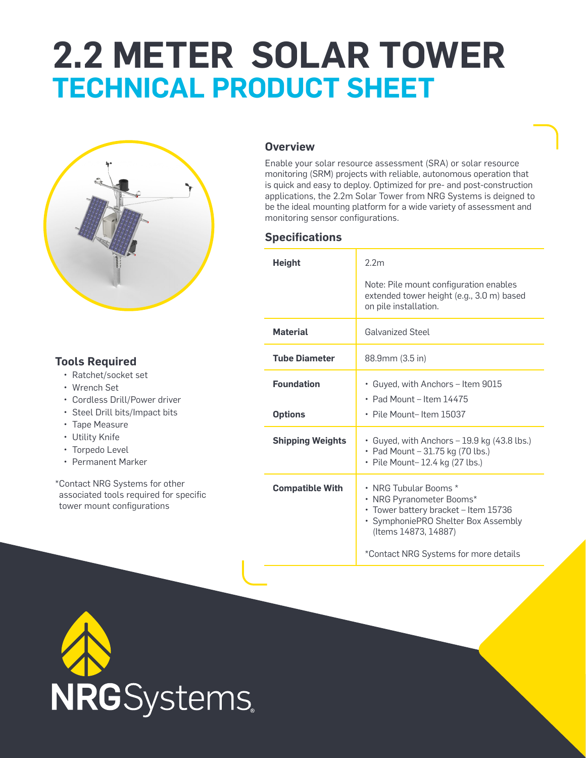# **2.2 METER SOLAR TOWER TECHNICAL PRODUCT SHEET**



#### **Tools Required**

- Ratchet/socket set
- Wrench Set
- Cordless Drill/Power driver
- Steel Drill bits/Impact bits
- Tape Measure
- Utility Knife
- Torpedo Level
- Permanent Marker

\*Contact NRG Systems for other associated tools required for specific tower mount configurations

#### **Overview**

Enable your solar resource assessment (SRA) or solar resource monitoring (SRM) projects with reliable, autonomous operation that is quick and easy to deploy. Optimized for pre- and post-construction applications, the 2.2m Solar Tower from NRG Systems is deigned to be the ideal mounting platform for a wide variety of assessment and monitoring sensor configurations.

#### **Specifications**

| <b>Height</b>                       | 2.2 <sub>m</sub>                                                                                                                                                                                  |
|-------------------------------------|---------------------------------------------------------------------------------------------------------------------------------------------------------------------------------------------------|
|                                     | Note: Pile mount configuration enables<br>extended tower height (e.g., 3.0 m) based<br>on pile installation.                                                                                      |
| <b>Material</b>                     | <b>Galvanized Steel</b>                                                                                                                                                                           |
| <b>Tube Diameter</b>                | 88.9mm (3.5 in)                                                                                                                                                                                   |
| <b>Foundation</b><br><b>Options</b> | • Guyed, with Anchors – Item 9015<br>• Pad Mount – Item $14475$<br>$\cdot$ Pile Mount-Item 15037                                                                                                  |
| <b>Shipping Weights</b>             | • Guyed, with Anchors - 19.9 kg (43.8 lbs.)<br>• Pad Mount - 31.75 kg (70 lbs.)<br>• Pile Mount-12.4 kg (27 lbs.)                                                                                 |
| <b>Compatible With</b>              | • NRG Tubular Booms *<br>• NRG Pyranometer Booms*<br>• Tower battery bracket - Item 15736<br>· SymphoniePRO Shelter Box Assembly<br>(Items 14873, 14887)<br>*Contact NRG Systems for more details |